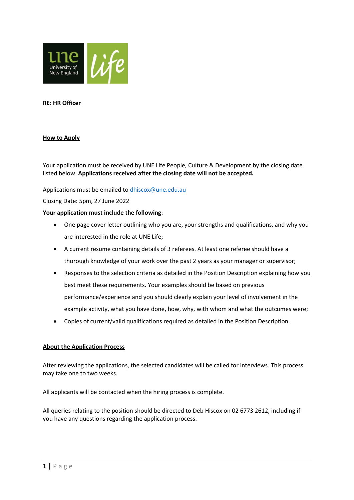

# **RE: HR Officer**

## **How to Apply**

Your application must be received by UNE Life People, Culture & Development by the closing date listed below. **Applications received after the closing date will not be accepted.**

Applications must be emailed t[o dhiscox@une.edu.au](mailto:dhiscox@une.edu.au)

Closing Date: 5pm, 27 June 2022

#### **Your application must include the following**:

- One page cover letter outlining who you are, your strengths and qualifications, and why you are interested in the role at UNE Life;
- A current resume containing details of 3 referees. At least one referee should have a thorough knowledge of your work over the past 2 years as your manager or supervisor;
- Responses to the selection criteria as detailed in the Position Description explaining how you best meet these requirements. Your examples should be based on previous performance/experience and you should clearly explain your level of involvement in the example activity, what you have done, how, why, with whom and what the outcomes were;
- Copies of current/valid qualifications required as detailed in the Position Description.

## **About the Application Process**

After reviewing the applications, the selected candidates will be called for interviews. This process may take one to two weeks.

All applicants will be contacted when the hiring process is complete.

All queries relating to the position should be directed to Deb Hiscox on 02 6773 2612, including if you have any questions regarding the application process.